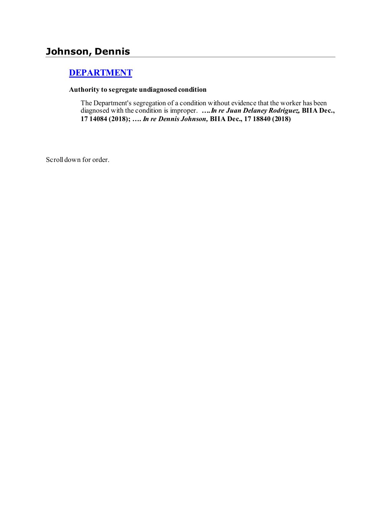# **Johnson, Dennis**

## **[DEPARTMENT](http://www.biia.wa.gov/SDSubjectIndex.html#DEPARTMENT)**

#### **Authority to segregate undiagnosed condition**

The Department's segregation of a condition without evidence that the worker has been diagnosed with the condition is improper. *….In re Juan Delaney Rodriguez,* **BIIA Dec., 17 14084 (2018); ….** *In re Dennis Johnson,* **BIIA Dec., 17 18840 (2018)**

Scroll down for order.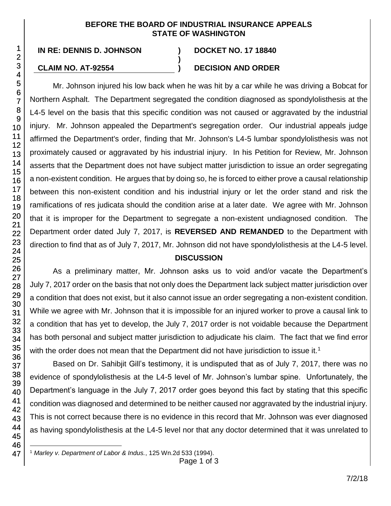#### **BEFORE THE BOARD OF INDUSTRIAL INSURANCE APPEALS STATE OF WASHINGTON**

**)**

**IN RE: DENNIS D. JOHNSON ) DOCKET NO. 17 18840**

### **CLAIM NO. AT-92554 ) DECISION AND ORDER**

Mr. Johnson injured his low back when he was hit by a car while he was driving a Bobcat for Northern Asphalt. The Department segregated the condition diagnosed as spondylolisthesis at the L4-5 level on the basis that this specific condition was not caused or aggravated by the industrial injury. Mr. Johnson appealed the Department's segregation order. Our industrial appeals judge affirmed the Department's order, finding that Mr. Johnson's L4-5 lumbar spondylolisthesis was not proximately caused or aggravated by his industrial injury. In his Petition for Review, Mr. Johnson asserts that the Department does not have subject matter jurisdiction to issue an order segregating a non-existent condition. He argues that by doing so, he is forced to either prove a causal relationship between this non-existent condition and his industrial injury or let the order stand and risk the ramifications of res judicata should the condition arise at a later date. We agree with Mr. Johnson that it is improper for the Department to segregate a non-existent undiagnosed condition. The Department order dated July 7, 2017, is **REVERSED AND REMANDED** to the Department with direction to find that as of July 7, 2017, Mr. Johnson did not have spondylolisthesis at the L4-5 level.

### **DISCUSSION**

As a preliminary matter, Mr. Johnson asks us to void and/or vacate the Department's July 7, 2017 order on the basis that not only does the Department lack subject matter jurisdiction over a condition that does not exist, but it also cannot issue an order segregating a non-existent condition. While we agree with Mr. Johnson that it is impossible for an injured worker to prove a causal link to a condition that has yet to develop, the July 7, 2017 order is not voidable because the Department has both personal and subject matter jurisdiction to adjudicate his claim. The fact that we find error with the order does not mean that the Department did not have jurisdiction to issue it.<sup>1</sup>

Based on Dr. Sahibjit Gill's testimony, it is undisputed that as of July 7, 2017, there was no evidence of spondylolisthesis at the L4-5 level of Mr. Johnson's lumbar spine. Unfortunately, the Department's language in the July 7, 2017 order goes beyond this fact by stating that this specific condition was diagnosed and determined to be neither caused nor aggravated by the industrial injury. This is not correct because there is no evidence in this record that Mr. Johnson was ever diagnosed as having spondylolisthesis at the L4-5 level nor that any doctor determined that it was unrelated to

l <sup>1</sup> *Marley v. Department of Labor & Indus.*, 125 Wn.2d 533 (1994).

Page 1 of 3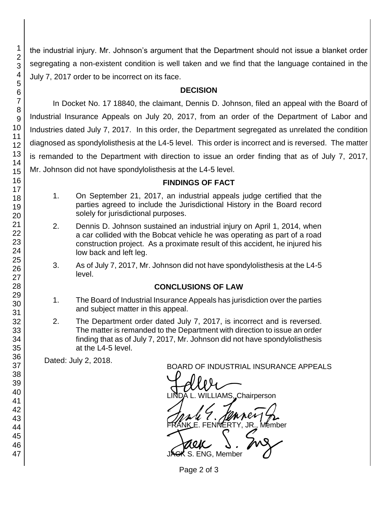the industrial injury. Mr. Johnson's argument that the Department should not issue a blanket order segregating a non-existent condition is well taken and we find that the language contained in the July 7, 2017 order to be incorrect on its face.

#### **DECISION**

In Docket No. 17 18840, the claimant, Dennis D. Johnson, filed an appeal with the Board of Industrial Insurance Appeals on July 20, 2017, from an order of the Department of Labor and Industries dated July 7, 2017. In this order, the Department segregated as unrelated the condition diagnosed as spondylolisthesis at the L4-5 level. This order is incorrect and is reversed. The matter is remanded to the Department with direction to issue an order finding that as of July 7, 2017, Mr. Johnson did not have spondylolisthesis at the L4-5 level.

#### **FINDINGS OF FACT**

- 1. On September 21, 2017, an industrial appeals judge certified that the parties agreed to include the Jurisdictional History in the Board record solely for jurisdictional purposes.
- 2. Dennis D. Johnson sustained an industrial injury on April 1, 2014, when a car collided with the Bobcat vehicle he was operating as part of a road construction project. As a proximate result of this accident, he injured his low back and left leg.
- 3. As of July 7, 2017, Mr. Johnson did not have spondylolisthesis at the L4-5 level.

### **CONCLUSIONS OF LAW**

- 1. The Board of Industrial Insurance Appeals has jurisdiction over the parties and subject matter in this appeal.
- 2. The Department order dated July 7, 2017, is incorrect and is reversed. The matter is remanded to the Department with direction to issue an order finding that as of July 7, 2017, Mr. Johnson did not have spondylolisthesis at the L4-5 level.

Dated: July 2, 2018.

BOARD OF INDUSTRIAL INSURANCE APPEALS<br>
UNDA L. WILLIAMS, Chairperson **IAMS..Chairperson** FRANKE. FENNERTY, JR., Member<br>GRANKE. FENNERTY, JR., Member<br>JAGK S. ENG, Member S. ENG. Member

Page 2 of 3

1